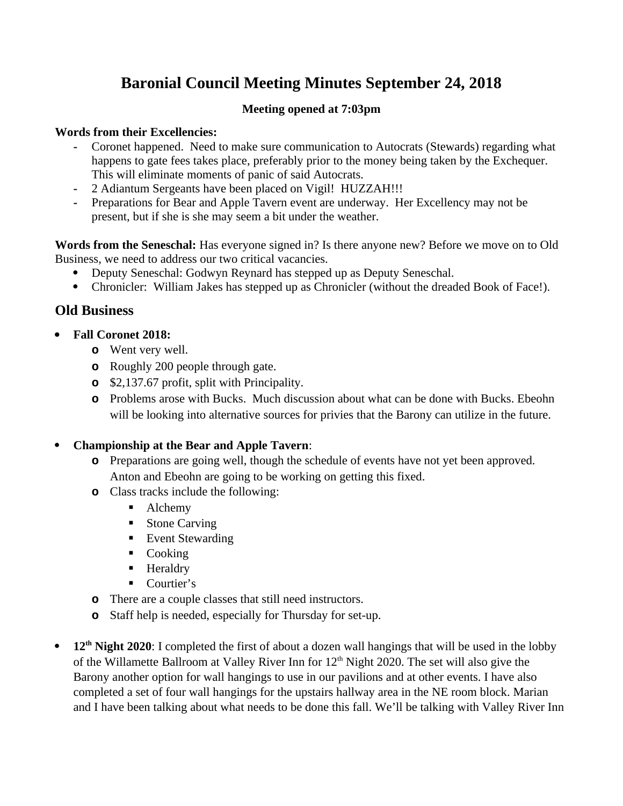# **Baronial Council Meeting Minutes September 24, 2018**

## **Meeting opened at 7:03pm**

#### **Words from their Excellencies:**

- **-** Coronet happened. Need to make sure communication to Autocrats (Stewards) regarding what happens to gate fees takes place, preferably prior to the money being taken by the Exchequer. This will eliminate moments of panic of said Autocrats.
- **-** 2 Adiantum Sergeants have been placed on Vigil! HUZZAH!!!
- **-** Preparations for Bear and Apple Tavern event are underway. Her Excellency may not be present, but if she is she may seem a bit under the weather.

**Words from the Seneschal:** Has everyone signed in? Is there anyone new? Before we move on to Old Business, we need to address our two critical vacancies.

- Deputy Seneschal: Godwyn Reynard has stepped up as Deputy Seneschal.
- Chronicler: William Jakes has stepped up as Chronicler (without the dreaded Book of Face!).

# **Old Business**

- **Fall Coronet 2018:** 
	- **o** Went very well.
	- **o** Roughly 200 people through gate.
	- **o** \$2,137.67 profit, split with Principality.
	- **o** Problems arose with Bucks. Much discussion about what can be done with Bucks. Ebeohn will be looking into alternative sources for privies that the Barony can utilize in the future.

#### **Championship at the Bear and Apple Tavern**:

- **o** Preparations are going well, though the schedule of events have not yet been approved. Anton and Ebeohn are going to be working on getting this fixed.
- **o** Class tracks include the following:
	- Alchemy
	- **Stone Carving**
	- Event Stewarding
	- Cooking
	- **Heraldry**
	- Courtier's
- **o** There are a couple classes that still need instructors.
- **o** Staff help is needed, especially for Thursday for set-up.
- **12th Night 2020**: I completed the first of about a dozen wall hangings that will be used in the lobby of the Willamette Ballroom at Valley River Inn for  $12<sup>th</sup>$  Night 2020. The set will also give the Barony another option for wall hangings to use in our pavilions and at other events. I have also completed a set of four wall hangings for the upstairs hallway area in the NE room block. Marian and I have been talking about what needs to be done this fall. We'll be talking with Valley River Inn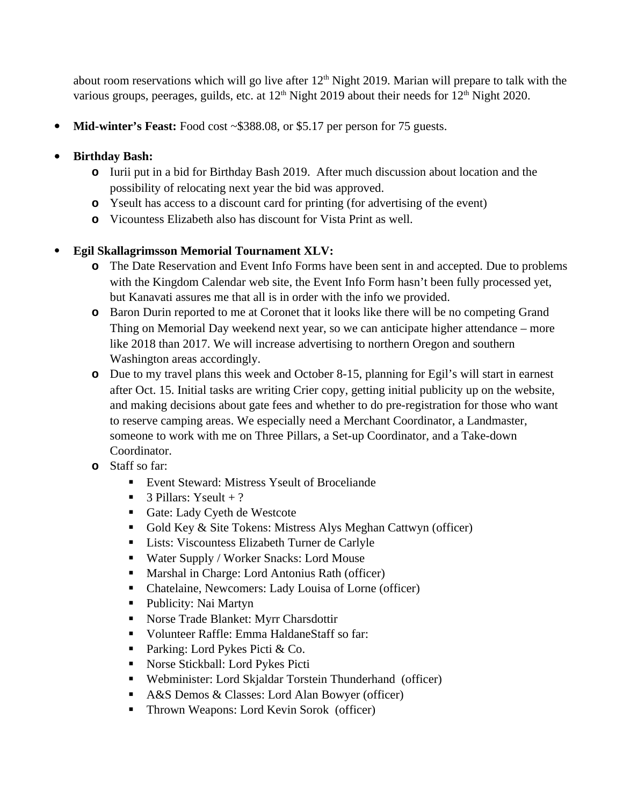about room reservations which will go live after  $12<sup>th</sup>$  Night 2019. Marian will prepare to talk with the various groups, peerages, guilds, etc. at 12<sup>th</sup> Night 2019 about their needs for 12<sup>th</sup> Night 2020.

• **Mid-winter's Feast:** Food cost ~\$388.08, or \$5.17 per person for 75 guests.

# **Birthday Bash:**

- **o** Iurii put in a bid for Birthday Bash 2019. After much discussion about location and the possibility of relocating next year the bid was approved.
- **o** Yseult has access to a discount card for printing (for advertising of the event)
- **o** Vicountess Elizabeth also has discount for Vista Print as well.

# **Egil Skallagrimsson Memorial Tournament XLV:**

- **o** The Date Reservation and Event Info Forms have been sent in and accepted. Due to problems with the Kingdom Calendar web site, the Event Info Form hasn't been fully processed yet, but Kanavati assures me that all is in order with the info we provided.
- **o** Baron Durin reported to me at Coronet that it looks like there will be no competing Grand Thing on Memorial Day weekend next year, so we can anticipate higher attendance – more like 2018 than 2017. We will increase advertising to northern Oregon and southern Washington areas accordingly.
- **o** Due to my travel plans this week and October 8-15, planning for Egil's will start in earnest after Oct. 15. Initial tasks are writing Crier copy, getting initial publicity up on the website, and making decisions about gate fees and whether to do pre-registration for those who want to reserve camping areas. We especially need a Merchant Coordinator, a Landmaster, someone to work with me on Three Pillars, a Set-up Coordinator, and a Take-down Coordinator.
- **o** Staff so far:
	- Event Steward: Mistress Yseult of Broceliande
	- $\blacksquare$  3 Pillars: Yseult + ?
	- Gate: Lady Cyeth de Westcote
	- Gold Key & Site Tokens: Mistress Alys Meghan Cattwyn (officer)
	- **Lists: Viscountess Elizabeth Turner de Carlyle**
	- Water Supply / Worker Snacks: Lord Mouse
	- Marshal in Charge: Lord Antonius Rath (officer)
	- Chatelaine, Newcomers: Lady Louisa of Lorne (officer)
	- Publicity: Nai Martyn
	- Norse Trade Blanket: Myrr Charsdottir
	- Volunteer Raffle: Emma HaldaneStaff so far:
	- **Parking: Lord Pykes Picti & Co.**
	- Norse Stickball: Lord Pykes Picti
	- Webminister: Lord Skjaldar Torstein Thunderhand (officer)
	- A&S Demos & Classes: Lord Alan Bowyer (officer)
	- Thrown Weapons: Lord Kevin Sorok (officer)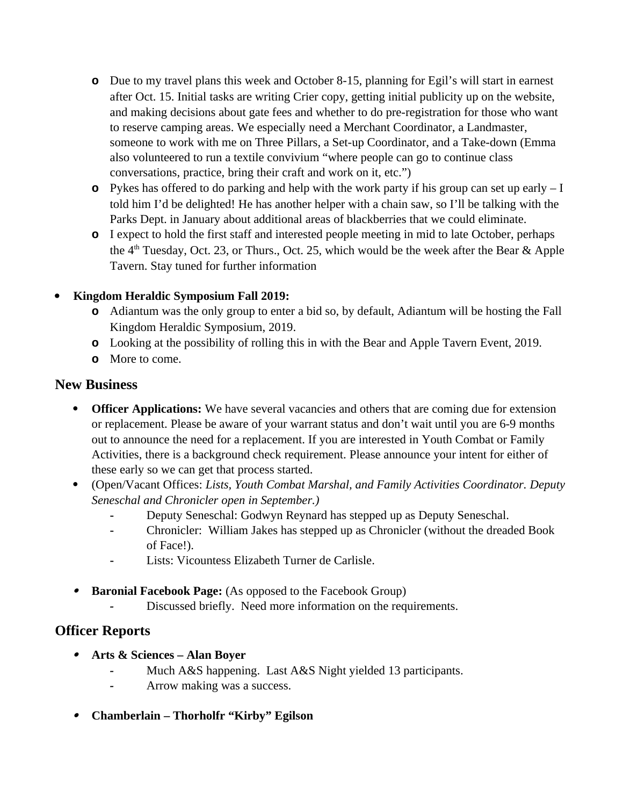- **o** Due to my travel plans this week and October 8-15, planning for Egil's will start in earnest after Oct. 15. Initial tasks are writing Crier copy, getting initial publicity up on the website, and making decisions about gate fees and whether to do pre-registration for those who want to reserve camping areas. We especially need a Merchant Coordinator, a Landmaster, someone to work with me on Three Pillars, a Set-up Coordinator, and a Take-down (Emma also volunteered to run a textile convivium "where people can go to continue class conversations, practice, bring their craft and work on it, etc.")
- **o** Pykes has offered to do parking and help with the work party if his group can set up early I told him I'd be delighted! He has another helper with a chain saw, so I'll be talking with the Parks Dept. in January about additional areas of blackberries that we could eliminate.
- **o** I expect to hold the first staff and interested people meeting in mid to late October, perhaps the 4<sup>th</sup> Tuesday, Oct. 23, or Thurs., Oct. 25, which would be the week after the Bear & Apple Tavern. Stay tuned for further information

# **Kingdom Heraldic Symposium Fall 2019:**

- **o** Adiantum was the only group to enter a bid so, by default, Adiantum will be hosting the Fall Kingdom Heraldic Symposium, 2019.
- **o** Looking at the possibility of rolling this in with the Bear and Apple Tavern Event, 2019.
- **o** More to come.

# **New Business**

- **Officer Applications:** We have several vacancies and others that are coming due for extension or replacement. Please be aware of your warrant status and don't wait until you are 6-9 months out to announce the need for a replacement. If you are interested in Youth Combat or Family Activities, there is a background check requirement. Please announce your intent for either of these early so we can get that process started.
- (Open/Vacant Offices: *Lists, Youth Combat Marshal, and Family Activities Coordinator. Deputy Seneschal and Chronicler open in September.)*
	- **-** Deputy Seneschal: Godwyn Reynard has stepped up as Deputy Seneschal.
	- **-** Chronicler: William Jakes has stepped up as Chronicler (without the dreaded Book of Face!).
	- **-** Lists: Vicountess Elizabeth Turner de Carlisle.
- **Baronial Facebook Page:** (As opposed to the Facebook Group)
	- *-* Discussed briefly. Need more information on the requirements.

# **Officer Reports**

- **Arts & Sciences Alan Boyer**
	- *-* Much A&S happening. Last A&S Night yielded 13 participants.
	- *-* Arrow making was a success.
- **Chamberlain Thorholfr "Kirby" Egilson**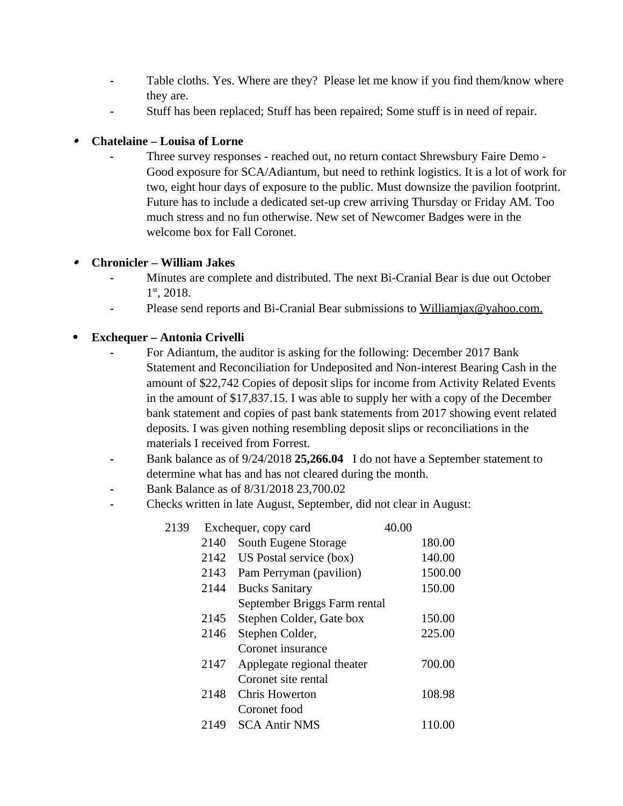- **-** Table cloths. Yes. Where are they? Please let me know if you find them/know where they are.
- **-** Stuff has been replaced; Stuff has been repaired; Some stuff is in need of repair.

#### . **Chatelaine – Louisa of Lorne**

*-* Three survey responses - reached out, no return contact Shrewsbury Faire Demo - Good exposure for SCA/Adiantum, but need to rethink logistics. It is a lot of work for two, eight hour days of exposure to the public. Must downsize the pavilion footprint. Future has to include a dedicated set-up crew arriving Thursday or Friday AM. Too much stress and no fun otherwise. New set of Newcomer Badges were in the welcome box for Fall Coronet.

#### . **Chronicler – William Jakes**

- **-** Minutes are complete and distributed. The next Bi-Cranial Bear is due out October 1 st, 2018.
- **-** Please send reports and Bi-Cranial Bear submissions to [Williamjax@yahoo.com.](mailto:Williamjax@yahoo.com)

### **Exchequer – Antonia Crivelli**

- **-** For Adiantum, the auditor is asking for the following: December 2017 Bank Statement and Reconciliation for Undeposited and Non-interest Bearing Cash in the amount of \$22,742 Copies of deposit slips for income from Activity Related Events in the amount of \$17,837.15. I was able to supply her with a copy of the December bank statement and copies of past bank statements from 2017 showing event related deposits. I was given nothing resembling deposit slips or reconciliations in the materials I received from Forrest.
- **-** Bank balance as of 9/24/2018 **25,266.04** I do not have a September statement to determine what has and has not cleared during the month.
- **-** Bank Balance as of 8/31/2018 23,700.02
- **-** Checks written in late August, September, did not clear in August:

| 2139 | Exchequer, copy card |                              | 40.00 |         |
|------|----------------------|------------------------------|-------|---------|
|      | 2140                 | South Eugene Storage         |       | 180.00  |
|      | 2142                 | US Postal service (box)      |       | 140.00  |
|      | 2143                 | Pam Perryman (pavilion)      |       | 1500.00 |
|      | 2144                 | <b>Bucks Sanitary</b>        |       | 150.00  |
|      |                      | September Briggs Farm rental |       |         |
|      | 2145                 | Stephen Colder, Gate box     |       | 150.00  |
|      | 2146                 | Stephen Colder,              |       | 225.00  |
|      |                      | Coronet insurance            |       |         |
|      | 2147                 | Applegate regional theater   |       | 700.00  |
|      |                      | Coronet site rental          |       |         |
|      | 2148                 | Chris Howerton               |       | 108.98  |
|      |                      | Coronet food                 |       |         |
|      | 2149                 | <b>SCA Antir NMS</b>         |       | 110.00  |
|      |                      |                              |       |         |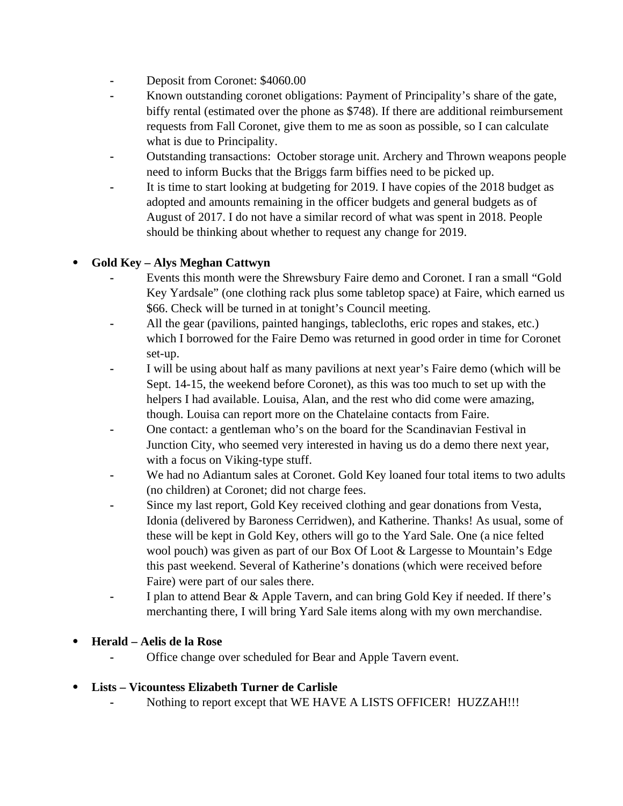- **-** Deposit from Coronet: \$4060.00
- **-** Known outstanding coronet obligations: Payment of Principality's share of the gate, biffy rental (estimated over the phone as \$748). If there are additional reimbursement requests from Fall Coronet, give them to me as soon as possible, so I can calculate what is due to Principality.
- **-** Outstanding transactions: October storage unit. Archery and Thrown weapons people need to inform Bucks that the Briggs farm biffies need to be picked up.
- **-** It is time to start looking at budgeting for 2019. I have copies of the 2018 budget as adopted and amounts remaining in the officer budgets and general budgets as of August of 2017. I do not have a similar record of what was spent in 2018. People should be thinking about whether to request any change for 2019.

### **Gold Key – Alys Meghan Cattwyn**

- **-** Events this month were the Shrewsbury Faire demo and Coronet. I ran a small "Gold Key Yardsale" (one clothing rack plus some tabletop space) at Faire, which earned us \$66. Check will be turned in at tonight's Council meeting.
- **-** All the gear (pavilions, painted hangings, tablecloths, eric ropes and stakes, etc.) which I borrowed for the Faire Demo was returned in good order in time for Coronet set-up.
- **-** I will be using about half as many pavilions at next year's Faire demo (which will be Sept. 14-15, the weekend before Coronet), as this was too much to set up with the helpers I had available. Louisa, Alan, and the rest who did come were amazing, though. Louisa can report more on the Chatelaine contacts from Faire.
- **-** One contact: a gentleman who's on the board for the Scandinavian Festival in Junction City, who seemed very interested in having us do a demo there next year, with a focus on Viking-type stuff.
- **-** We had no Adiantum sales at Coronet. Gold Key loaned four total items to two adults (no children) at Coronet; did not charge fees.
- **-** Since my last report, Gold Key received clothing and gear donations from Vesta, Idonia (delivered by Baroness Cerridwen), and Katherine. Thanks! As usual, some of these will be kept in Gold Key, others will go to the Yard Sale. One (a nice felted wool pouch) was given as part of our Box Of Loot & Largesse to Mountain's Edge this past weekend. Several of Katherine's donations (which were received before Faire) were part of our sales there.
- **-** I plan to attend Bear & Apple Tavern, and can bring Gold Key if needed. If there's merchanting there, I will bring Yard Sale items along with my own merchandise.

#### **Herald – Aelis de la Rose**

**-** Office change over scheduled for Bear and Apple Tavern event.

#### **Lists – Vicountess Elizabeth Turner de Carlisle**

**-** Nothing to report except that WE HAVE A LISTS OFFICER! HUZZAH!!!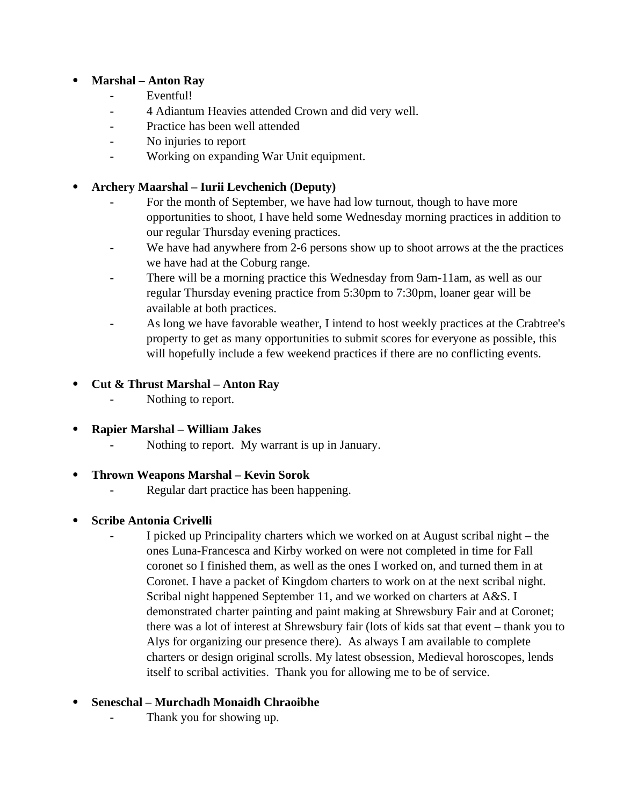# **Marshal – Anton Ray**

- **-** Eventful!
- **-** 4 Adiantum Heavies attended Crown and did very well.
- **-** Practice has been well attended
- **-** No injuries to report
- **-** Working on expanding War Unit equipment.

### **Archery Maarshal – Iurii Levchenich (Deputy)**

- **-** For the month of September, we have had low turnout, though to have more opportunities to shoot, I have held some Wednesday morning practices in addition to our regular Thursday evening practices.
- We have had anywhere from 2-6 persons show up to shoot arrows at the the practices we have had at the Coburg range.
- **-** There will be a morning practice this Wednesday from 9am-11am, as well as our regular Thursday evening practice from 5:30pm to 7:30pm, loaner gear will be available at both practices.
- **-** As long we have favorable weather, I intend to host weekly practices at the Crabtree's property to get as many opportunities to submit scores for everyone as possible, this will hopefully include a few weekend practices if there are no conflicting events.
- **Cut & Thrust Marshal Anton Ray**
	- **-** Nothing to report.
- **Rapier Marshal William Jakes**
	- **-** Nothing to report. My warrant is up in January.
- **Thrown Weapons Marshal Kevin Sorok**
	- **-** Regular dart practice has been happening.
- **Scribe Antonia Crivelli**
	- **-** I picked up Principality charters which we worked on at August scribal night the ones Luna-Francesca and Kirby worked on were not completed in time for Fall coronet so I finished them, as well as the ones I worked on, and turned them in at Coronet. I have a packet of Kingdom charters to work on at the next scribal night. Scribal night happened September 11, and we worked on charters at A&S. I demonstrated charter painting and paint making at Shrewsbury Fair and at Coronet; there was a lot of interest at Shrewsbury fair (lots of kids sat that event – thank you to Alys for organizing our presence there). As always I am available to complete charters or design original scrolls. My latest obsession, Medieval horoscopes, lends itself to scribal activities. Thank you for allowing me to be of service.

# **Seneschal – Murchadh Monaidh Chraoibhe**

**-** Thank you for showing up.